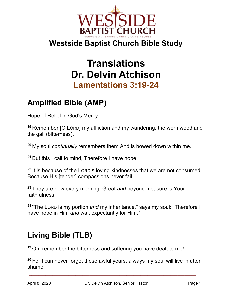

# **Translations Dr. Delvin Atchison Lamentations 3:19-24**

# **Amplified Bible (AMP)**

Hope of Relief in God's Mercy

**<sup>19</sup>** Remember [O LORD] my affliction and my wandering, the wormwood and the gall (bitterness).

**<sup>20</sup>** My soul *continually* remembers them And is bowed down within me.

**<sup>21</sup>** But this I call to mind, Therefore I have hope.

**<sup>22</sup>** It is because of the LORD'S loving-kindnesses that we are not consumed, Because His [tender] compassions never fail.

**<sup>23</sup>** They are new every morning; Great *and* beyond measure is Your faithfulness.

**<sup>24</sup>** "The LORD is my portion *and* my inheritance," says my soul; "Therefore I have hope in Him *and* wait expectantly for Him."

# **Living Bible (TLB)**

**<sup>19</sup>** Oh, remember the bitterness and suffering you have dealt to me!

**<sup>20</sup>** For I can never forget these awful years; always my soul will live in utter shame.

**\_\_\_\_\_\_\_\_\_\_\_\_\_\_\_\_\_\_\_\_\_\_\_\_\_\_\_\_\_\_\_\_\_\_\_\_\_\_\_\_\_\_\_\_\_\_\_\_\_\_\_\_\_\_\_\_\_\_\_\_\_\_\_\_\_\_\_\_\_\_\_\_**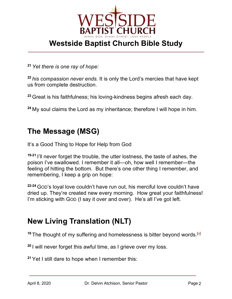

**<sup>21</sup>** *Yet there is one ray of hope:*

**<sup>22</sup>** *his compassion never ends.* It is only the Lord's mercies that have kept us from complete destruction.

**<sup>23</sup>** Great is his faithfulness; his loving-kindness begins afresh each day.

**<sup>24</sup>** My soul claims the Lord as my inheritance; therefore I will hope in him.

#### **The Message (MSG)**

It's a Good Thing to Hope for Help from God

**19-21** I'll never forget the trouble, the utter lostness, the taste of ashes, the poison I've swallowed. I remember it all—oh, how well I remember—the feeling of hitting the bottom. But there's one other thing I remember, and remembering, I keep a grip on hope:

**22-24** GOD's loyal love couldn't have run out, his merciful love couldn't have dried up. They're created new every morning. How great your faithfulness! I'm sticking with GOD (I say it over and over). He's all I've got left.

# **New Living Translation (NLT)**

<sup>19</sup> The thought of my suffering and homelessness is bitter beyond words.<sup>[a]</sup>

**<sup>20</sup>** I will never forget this awful time, as I grieve over my loss.

**<sup>21</sup>** Yet I still dare to hope when I remember this:

**\_\_\_\_\_\_\_\_\_\_\_\_\_\_\_\_\_\_\_\_\_\_\_\_\_\_\_\_\_\_\_\_\_\_\_\_\_\_\_\_\_\_\_\_\_\_\_\_\_\_\_\_\_\_\_\_\_\_\_\_\_\_\_\_\_\_\_\_\_\_\_\_**